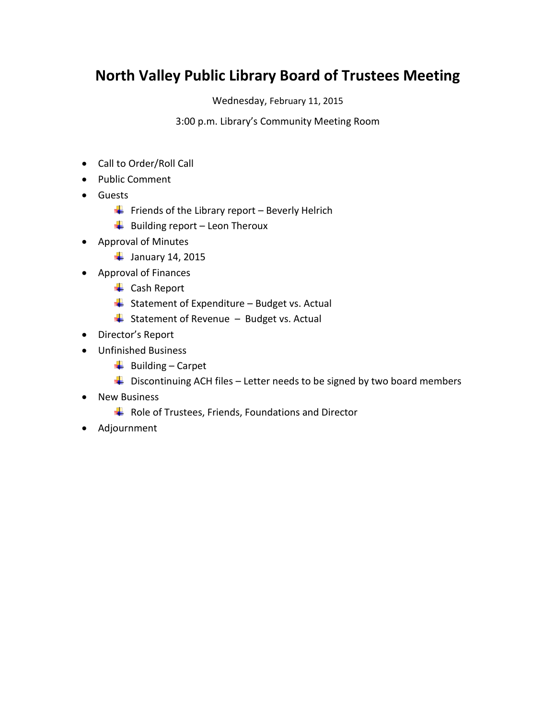## **North Valley Public Library Board of Trustees Meeting**

Wednesday, February 11, 2015

3:00 p.m. Library's Community Meeting Room

- Call to Order/Roll Call
- Public Comment
- **•** Guests
	- Friends of the Library report Beverly Helrich
	- $\overline{\phantom{a}}$  Building report Leon Theroux
- Approval of Minutes
	- $\frac{1}{2}$  January 14, 2015
- Approval of Finances
	- ← Cash Report
	- $\overline{\phantom{a}}$  Statement of Expenditure Budget vs. Actual
	- $\frac{1}{\sqrt{2}}$  Statement of Revenue Budget vs. Actual
- Director's Report
- Unfinished Business
	- $\frac{1}{2}$  Building Carpet
	- $\ddot{+}$  Discontinuing ACH files Letter needs to be signed by two board members
- New Business
	- $\frac{1}{2}$  Role of Trustees, Friends, Foundations and Director
- Adjournment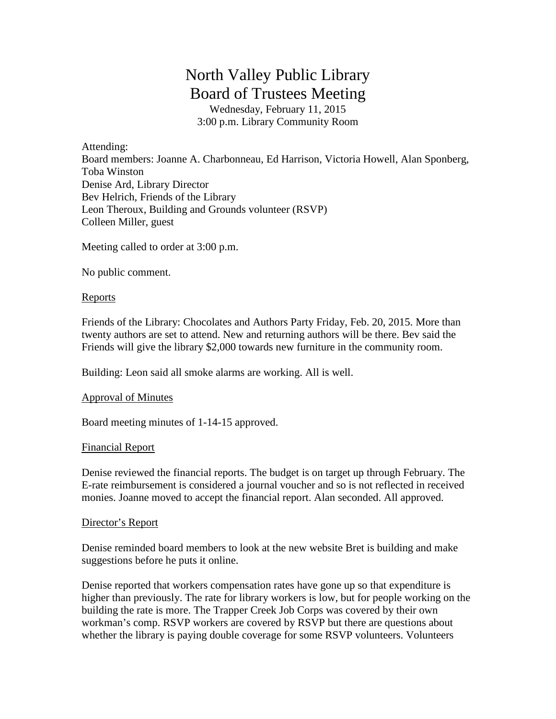# North Valley Public Library Board of Trustees Meeting

Wednesday, February 11, 2015 3:00 p.m. Library Community Room

Attending: Board members: Joanne A. Charbonneau, Ed Harrison, Victoria Howell, Alan Sponberg, Toba Winston Denise Ard, Library Director Bev Helrich, Friends of the Library Leon Theroux, Building and Grounds volunteer (RSVP) Colleen Miller, guest

Meeting called to order at 3:00 p.m.

No public comment.

### Reports

Friends of the Library: Chocolates and Authors Party Friday, Feb. 20, 2015. More than twenty authors are set to attend. New and returning authors will be there. Bev said the Friends will give the library \$2,000 towards new furniture in the community room.

Building: Leon said all smoke alarms are working. All is well.

#### Approval of Minutes

Board meeting minutes of 1-14-15 approved.

#### Financial Report

Denise reviewed the financial reports. The budget is on target up through February. The E-rate reimbursement is considered a journal voucher and so is not reflected in received monies. Joanne moved to accept the financial report. Alan seconded. All approved.

#### Director's Report

Denise reminded board members to look at the new website Bret is building and make suggestions before he puts it online.

Denise reported that workers compensation rates have gone up so that expenditure is higher than previously. The rate for library workers is low, but for people working on the building the rate is more. The Trapper Creek Job Corps was covered by their own workman's comp. RSVP workers are covered by RSVP but there are questions about whether the library is paying double coverage for some RSVP volunteers. Volunteers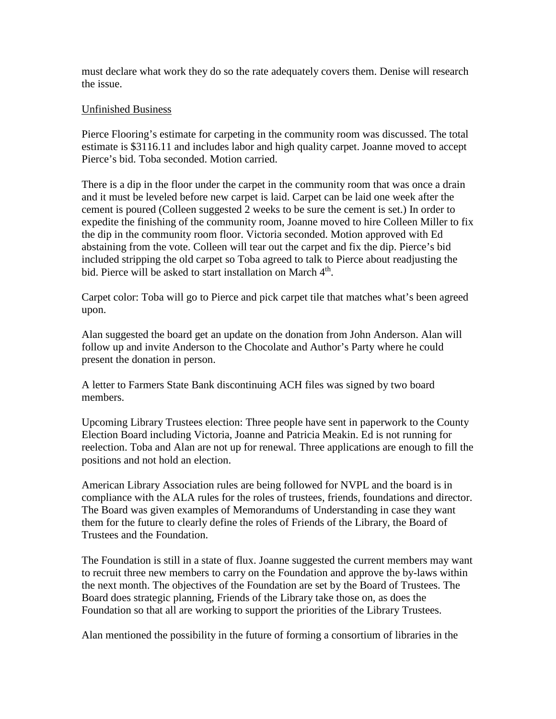must declare what work they do so the rate adequately covers them. Denise will research the issue.

#### Unfinished Business

Pierce Flooring's estimate for carpeting in the community room was discussed. The total estimate is \$3116.11 and includes labor and high quality carpet. Joanne moved to accept Pierce's bid. Toba seconded. Motion carried.

There is a dip in the floor under the carpet in the community room that was once a drain and it must be leveled before new carpet is laid. Carpet can be laid one week after the cement is poured (Colleen suggested 2 weeks to be sure the cement is set.) In order to expedite the finishing of the community room, Joanne moved to hire Colleen Miller to fix the dip in the community room floor. Victoria seconded. Motion approved with Ed abstaining from the vote. Colleen will tear out the carpet and fix the dip. Pierce's bid included stripping the old carpet so Toba agreed to talk to Pierce about readjusting the bid. Pierce will be asked to start installation on March  $4<sup>th</sup>$ .

Carpet color: Toba will go to Pierce and pick carpet tile that matches what's been agreed upon.

Alan suggested the board get an update on the donation from John Anderson. Alan will follow up and invite Anderson to the Chocolate and Author's Party where he could present the donation in person.

A letter to Farmers State Bank discontinuing ACH files was signed by two board members.

Upcoming Library Trustees election: Three people have sent in paperwork to the County Election Board including Victoria, Joanne and Patricia Meakin. Ed is not running for reelection. Toba and Alan are not up for renewal. Three applications are enough to fill the positions and not hold an election.

American Library Association rules are being followed for NVPL and the board is in compliance with the ALA rules for the roles of trustees, friends, foundations and director. The Board was given examples of Memorandums of Understanding in case they want them for the future to clearly define the roles of Friends of the Library, the Board of Trustees and the Foundation.

The Foundation is still in a state of flux. Joanne suggested the current members may want to recruit three new members to carry on the Foundation and approve the by-laws within the next month. The objectives of the Foundation are set by the Board of Trustees. The Board does strategic planning, Friends of the Library take those on, as does the Foundation so that all are working to support the priorities of the Library Trustees.

Alan mentioned the possibility in the future of forming a consortium of libraries in the